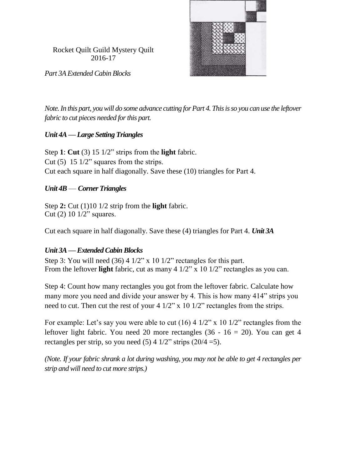

Rocket Quilt Guild Mystery Quilt 2016-17

*Part 3A Extended Cabin Blocks*

*Note. In this part, you will do some advance cutting for Part 4. This is so you can use the leftover fabric to cut pieces needed for this part.*

## *Unit 4A —Large Setting Triangles*

Step **1**: **Cut** (3) 15 1/2" strips from the **light** fabric. Cut  $(5)$  15 1/2" squares from the strips. Cut each square in half diagonally. Save these (10) triangles for Part 4.

## *Unit 4B* — *Corner Triangles*

Step **2:** Cut (1)10 1/2 strip from the **light** fabric. Cut (2) 10 1/2" squares.

Cut each square in half diagonally. Save these (4) triangles for Part 4. *Unit 3A* 

## *Unit 3A —Extended Cabin Blocks*

Step 3: You will need  $(36)$  4  $1/2$ " x 10  $1/2$ " rectangles for this part. From the leftover **light** fabric, cut as many 4 1/2" x 10 1/2" rectangles as you can.

Step 4: Count how many rectangles you got from the leftover fabric. Calculate how many more you need and divide your answer by 4. This is how many 414" strips you need to cut. Then cut the rest of your 4 1/2" x 10 1/2" rectangles from the strips.

For example: Let's say you were able to cut  $(16)$  4  $1/2$ " x 10  $1/2$ " rectangles from the leftover light fabric. You need 20 more rectangles  $(36 - 16 = 20)$ . You can get 4 rectangles per strip, so you need  $(5)$  4  $1/2$ " strips  $(20/4=5)$ .

*(Note. If your fabric shrank a lot during washing, you may not be able to get 4 rectangles per strip and will need to cut more strips.)*